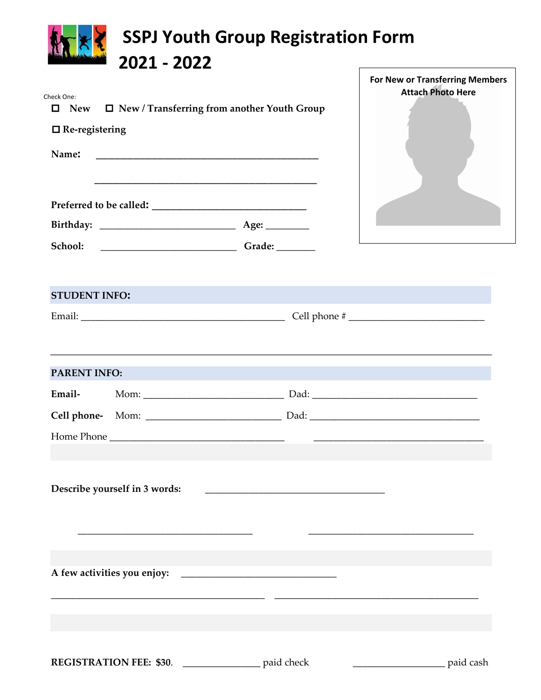| 2021 - 2022<br>Check One:<br>$\Box$ New / Transferring from another Youth Group<br><b>New</b><br>0<br>$\Box$ Re-registering<br>Name: | <b>For New or Transferring Members</b><br><b>Attach Photo Here</b>                                                                        |
|--------------------------------------------------------------------------------------------------------------------------------------|-------------------------------------------------------------------------------------------------------------------------------------------|
| School:                                                                                                                              |                                                                                                                                           |
| <b>STUDENT INFO:</b>                                                                                                                 | ,我们也不能在这里的时候,我们也不能在这里的时候,我们也不能会不能会不能会不能会不能会不能会不能会不能会。<br>第2012章 我们的时候,我们的时候,我们的时候,我们的时候,我们的时候,我们的时候,我们的时候,我们的时候,我们的时候,我们的时候,我们的时候,我们的时候,我 |
| <b>PARENT INFO:</b>                                                                                                                  |                                                                                                                                           |
| Email-                                                                                                                               |                                                                                                                                           |
| Cell phone-                                                                                                                          |                                                                                                                                           |
| Describe yourself in 3 words:                                                                                                        |                                                                                                                                           |
|                                                                                                                                      |                                                                                                                                           |
| REGISTRATION FEE: \$30. ________________ paid check                                                                                  | paid cash                                                                                                                                 |